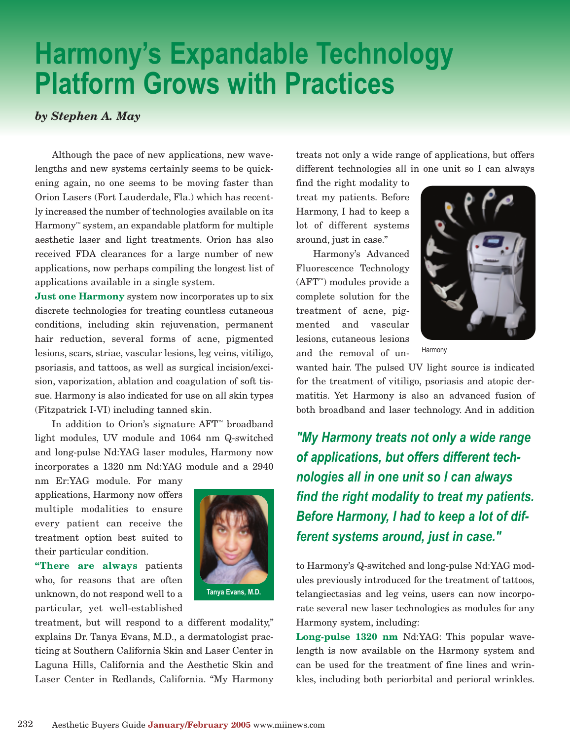## **Harmony's Expandable Technology Platform Grows with Practices**

## *by Stephen A. May*

Although the pace of new applications, new wavelengths and new systems certainly seems to be quickening again, no one seems to be moving faster than Orion Lasers (Fort Lauderdale, Fla.) which has recently increased the number of technologies available on its Harmony™ system, an expandable platform for multiple aesthetic laser and light treatments. Orion has also received FDA clearances for a large number of new applications, now perhaps compiling the longest list of applications available in a single system.

**Just one Harmony** system now incorporates up to six discrete technologies for treating countless cutaneous conditions, including skin rejuvenation, permanent hair reduction, several forms of acne, pigmented lesions, scars, striae, vascular lesions, leg veins, vitiligo, psoriasis, and tattoos, as well as surgical incision/excision, vaporization, ablation and coagulation of soft tissue. Harmony is also indicated for use on all skin types (Fitzpatrick I-VI) including tanned skin.

In addition to Orion's signature AFT™ broadband light modules, UV module and 1064 nm Q-switched and long-pulse Nd:YAG laser modules, Harmony now incorporates a 1320 nm Nd:YAG module and a 2940

nm Er:YAG module. For many applications, Harmony now offers multiple modalities to ensure every patient can receive the treatment option best suited to their particular condition.

**"There are always** patients who, for reasons that are often unknown, do not respond well to a particular, yet well-established



treatment, but will respond to a different modality," explains Dr. Tanya Evans, M.D., a dermatologist practicing at Southern California Skin and Laser Center in Laguna Hills, California and the Aesthetic Skin and Laser Center in Redlands, California. "My Harmony treats not only a wide range of applications, but offers different technologies all in one unit so I can always

find the right modality to treat my patients. Before Harmony, I had to keep a lot of different systems around, just in case."

Harmony's Advanced Fluorescence Technology (AFT™) modules provide a complete solution for the treatment of acne, pigmented and vascular lesions, cutaneous lesions and the removal of un-



Harmony

wanted hair. The pulsed UV light source is indicated for the treatment of vitiligo, psoriasis and atopic dermatitis. Yet Harmony is also an advanced fusion of both broadband and laser technology. And in addition

*"My Harmony treats not only a wide range of applications, but offers different technologies all in one unit so I can always find the right modality to treat my patients. Before Harmony, I had to keep a lot of different systems around, just in case."*

to Harmony's Q-switched and long-pulse Nd:YAG modules previously introduced for the treatment of tattoos, telangiectasias and leg veins, users can now incorporate several new laser technologies as modules for any Harmony system, including:

**Long-pulse 1320 nm** Nd:YAG: This popular wavelength is now available on the Harmony system and can be used for the treatment of fine lines and wrinkles, including both periorbital and perioral wrinkles.